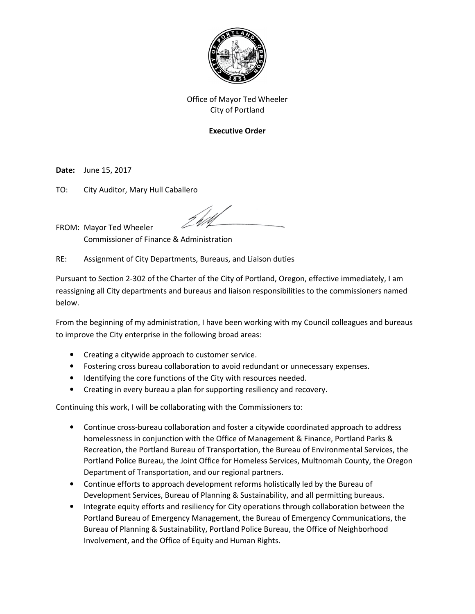

## **Executive Order**

**Date:** June 15, 2017

TO: City Auditor, Mary Hull Caballero

FROM: Mayor Ted Wheeler Commissioner of Finance & Administration

RE: Assignment of City Departments, Bureaus, and Liaison duties

Pursuant to Section 2-302 of the Charter of the City of Portland, Oregon, effective immediately, I am reassigning all City departments and bureaus and liaison responsibilities to the commissioners named below.

From the beginning of my administration, I have been working with my Council colleagues and bureaus to improve the City enterprise in the following broad areas:

- Creating a citywide approach to customer service.
- Fostering cross bureau collaboration to avoid redundant or unnecessary expenses.
- Identifying the core functions of the City with resources needed.
- Creating in every bureau a plan for supporting resiliency and recovery.

Continuing this work, I will be collaborating with the Commissioners to:

- Continue cross-bureau collaboration and foster a citywide coordinated approach to address homelessness in conjunction with the Office of Management & Finance, Portland Parks & Recreation, the Portland Bureau of Transportation, the Bureau of Environmental Services, the Portland Police Bureau, the Joint Office for Homeless Services, Multnomah County, the Oregon Department of Transportation, and our regional partners.
- Continue efforts to approach development reforms holistically led by the Bureau of Development Services, Bureau of Planning & Sustainability, and all permitting bureaus.
- Integrate equity efforts and resiliency for City operations through collaboration between the Portland Bureau of Emergency Management, the Bureau of Emergency Communications, the Bureau of Planning & Sustainability, Portland Police Bureau, the Office of Neighborhood Involvement, and the Office of Equity and Human Rights.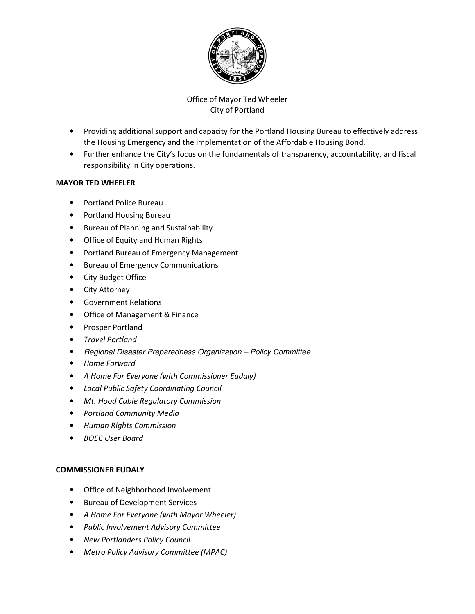

- Providing additional support and capacity for the Portland Housing Bureau to effectively address the Housing Emergency and the implementation of the Affordable Housing Bond.
- Further enhance the City's focus on the fundamentals of transparency, accountability, and fiscal responsibility in City operations.

#### **MAYOR TED WHEELER**

- Portland Police Bureau
- Portland Housing Bureau
- Bureau of Planning and Sustainability
- Office of Equity and Human Rights
- Portland Bureau of Emergency Management
- Bureau of Emergency Communications
- City Budget Office
- City Attorney
- Government Relations
- Office of Management & Finance
- Prosper Portland
- *Travel Portland*
- Regional Disaster Preparedness Organization Policy Committee
- *Home Forward*
- *A Home For Everyone (with Commissioner Eudaly)*
- *Local Public Safety Coordinating Council*
- *Mt. Hood Cable Regulatory Commission*
- *Portland Community Media*
- *Human Rights Commission*
- *BOEC User Board*

## **COMMISSIONER EUDALY**

- Office of Neighborhood Involvement
- Bureau of Development Services
- *A Home For Everyone (with Mayor Wheeler)*
- *Public Involvement Advisory Committee*
- *New Portlanders Policy Council*
- *Metro Policy Advisory Committee (MPAC)*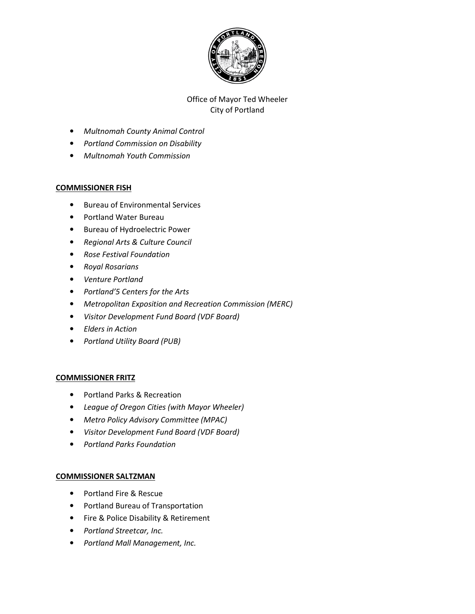

- *Multnomah County Animal Control*
- *Portland Commission on Disability*
- *Multnomah Youth Commission*

#### **COMMISSIONER FISH**

- Bureau of Environmental Services
- Portland Water Bureau
- Bureau of Hydroelectric Power
- *Regional Arts & Culture Council*
- *Rose Festival Foundation*
- *Royal Rosarians*
- *Venture Portland*
- *Portland'5 Centers for the Arts*
- *Metropolitan Exposition and Recreation Commission (MERC)*
- *Visitor Development Fund Board (VDF Board)*
- *Elders in Action*
- *Portland Utility Board (PUB)*

## **COMMISSIONER FRITZ**

- Portland Parks & Recreation
- *League of Oregon Cities (with Mayor Wheeler)*
- *Metro Policy Advisory Committee (MPAC)*
- *Visitor Development Fund Board (VDF Board)*
- *Portland Parks Foundation*

## **COMMISSIONER SALTZMAN**

- Portland Fire & Rescue
- Portland Bureau of Transportation
- Fire & Police Disability & Retirement
- *Portland Streetcar, Inc.*
- *Portland Mall Management, Inc.*